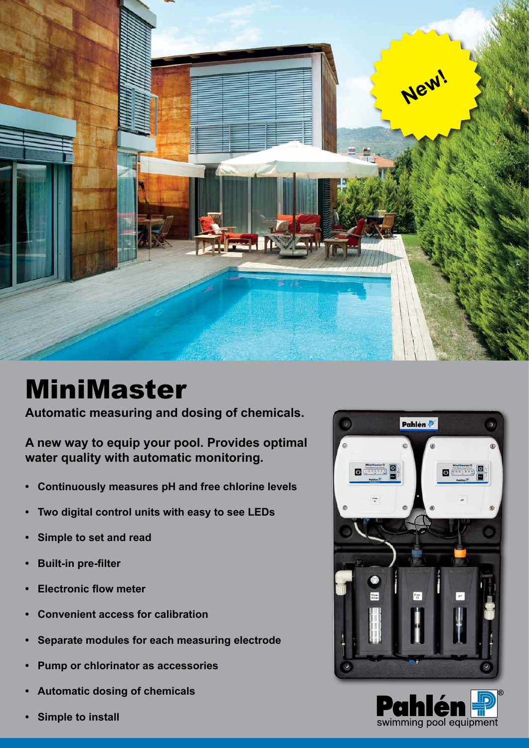

# MiniMaster

**Automatic measuring and dosing of chemicals.**

**A new way to equip your pool. Provides optimal water quality with automatic monitoring.**

- **• Continuously measures pH and free chlorine levels**
- **• Two digital control units with easy to see LEDs**
- **• Simple to set and read**
- **• Built-in pre-filter**
- **• Electronic flow meter**
- **• Convenient access for calibration**
- **• Separate modules for each measuring electrode**
- **• Pump or chlorinator as accessories**
- **• Automatic dosing of chemicals**
- **Simple to install**



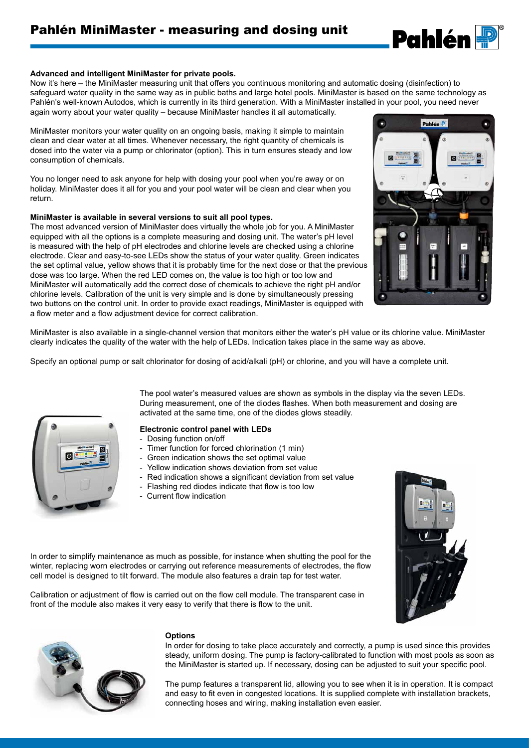

#### **Advanced and intelligent MiniMaster for private pools.**

Now it's here – the MiniMaster measuring unit that offers you continuous monitoring and automatic dosing (disinfection) to safeguard water quality in the same way as in public baths and large hotel pools. MiniMaster is based on the same technology as Pahlén's well-known Autodos, which is currently in its third generation. With a MiniMaster installed in your pool, you need never again worry about your water quality – because MiniMaster handles it all automatically.

MiniMaster monitors your water quality on an ongoing basis, making it simple to maintain clean and clear water at all times. Whenever necessary, the right quantity of chemicals is dosed into the water via a pump or chlorinator (option). This in turn ensures steady and low consumption of chemicals.

You no longer need to ask anyone for help with dosing your pool when you're away or on holiday. MiniMaster does it all for you and your pool water will be clean and clear when you return.

#### **MiniMaster is available in several versions to suit all pool types.**

The most advanced version of MiniMaster does virtually the whole job for you. A MiniMaster equipped with all the options is a complete measuring and dosing unit. The water's pH level is measured with the help of pH electrodes and chlorine levels are checked using a chlorine electrode. Clear and easy-to-see LEDs show the status of your water quality. Green indicates the set optimal value, yellow shows that it is probably time for the next dose or that the previous dose was too large. When the red LED comes on, the value is too high or too low and MiniMaster will automatically add the correct dose of chemicals to achieve the right pH and/or chlorine levels. Calibration of the unit is very simple and is done by simultaneously pressing two buttons on the control unit. In order to provide exact readings, MiniMaster is equipped with a flow meter and a flow adjustment device for correct calibration.



MiniMaster is also available in a single-channel version that monitors either the water's pH value or its chlorine value. MiniMaster clearly indicates the quality of the water with the help of LEDs. Indication takes place in the same way as above.

Specify an optional pump or salt chlorinator for dosing of acid/alkali (pH) or chlorine, and you will have a complete unit.



The pool water's measured values are shown as symbols in the display via the seven LEDs. During measurement, one of the diodes flashes. When both measurement and dosing are activated at the same time, one of the diodes glows steadily.

#### **Electronic control panel with LEDs**

- Dosing function on/off
- Timer function for forced chlorination (1 min)
- Green indication shows the set optimal value
- Yellow indication shows deviation from set value
- Red indication shows a significant deviation from set value
- Flashing red diodes indicate that flow is too low
- Current flow indication

In order to simplify maintenance as much as possible, for instance when shutting the pool for the winter, replacing worn electrodes or carrying out reference measurements of electrodes, the flow

Calibration or adjustment of flow is carried out on the flow cell module. The transparent case in





#### **Options**

front of the module also makes it very easy to verify that there is flow to the unit.

cell model is designed to tilt forward. The module also features a drain tap for test water.

In order for dosing to take place accurately and correctly, a pump is used since this provides steady, uniform dosing. The pump is factory-calibrated to function with most pools as soon as the MiniMaster is started up. If necessary, dosing can be adjusted to suit your specific pool.

The pump features a transparent lid, allowing you to see when it is in operation. It is compact and easy to fit even in congested locations. It is supplied complete with installation brackets, connecting hoses and wiring, making installation even easier.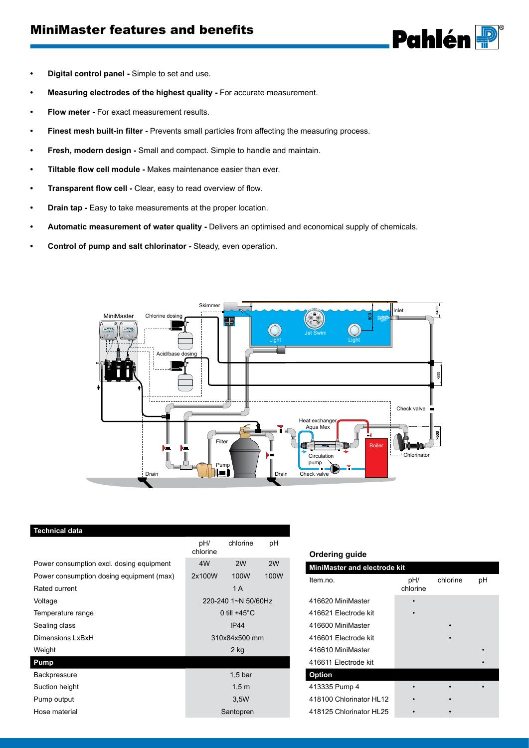### MiniMaster features and benefits



- **• Digital control panel -** Simple to set and use.
- **• Measuring electrodes of the highest quality -** For accurate measurement.
- **Flow meter -** For exact measurement results.
- **• Finest mesh built-in filter -** Prevents small particles from affecting the measuring process.
- **• Fresh, modern design -** Small and compact. Simple to handle and maintain.
- **• Tiltable flow cell module -** Makes maintenance easier than ever.
- **• Transparent flow cell -** Clear, easy to read overview of flow.
- **Drain tap** Easy to take measurements at the proper location.
- **• Automatic measurement of water quality -** Delivers an optimised and economical supply of chemicals.
- **• Control of pump and salt chlorinator -** Steady, even operation.



| Technical data                           |                        |          |      |
|------------------------------------------|------------------------|----------|------|
|                                          | pH/<br>chlorine        | chlorine | рH   |
| Power consumption excl. dosing equipment | 4W                     | 2W       | 2W   |
| Power consumption dosing equipment (max) | 2x100W                 | 100W     | 100W |
| Rated current                            |                        | 1A       |      |
| Voltage                                  | 220-240 1~N 50/60Hz    |          |      |
| Temperature range                        | 0 till $+45^{\circ}$ C |          |      |
| Sealing class                            | <b>IP44</b>            |          |      |
| Dimensions LxBxH                         | 310x84x500 mm          |          |      |
| Weight                                   | $2$ kg                 |          |      |
| Pump                                     |                        |          |      |
| <b>Backpressure</b>                      | 1.5 <sub>b</sub>       |          |      |
| Suction height                           | 1,5m                   |          |      |
| Pump output                              | 3,5W                   |          |      |
| Hose material                            | Santopren              |          |      |
|                                          |                        |          |      |

#### **Ordering guide**

| <b>MiniMaster and electrode kit</b> |                 |          |    |  |  |
|-------------------------------------|-----------------|----------|----|--|--|
| Item.no.                            | pH/<br>chlorine | chlorine | рH |  |  |
| 416620 MiniMaster                   |                 |          |    |  |  |
| 416621 Electrode kit                |                 |          |    |  |  |
| 416600 MiniMaster                   |                 |          |    |  |  |
| 416601 Electrode kit                |                 |          |    |  |  |
| 416610 MiniMaster                   |                 |          |    |  |  |
| 416611 Electrode kit                |                 |          |    |  |  |
| <b>Option</b>                       |                 |          |    |  |  |
| 413335 Pump 4                       |                 |          |    |  |  |
| 418100 Chlorinator HL12             |                 |          |    |  |  |
| 418125 Chlorinator HL25             |                 |          |    |  |  |